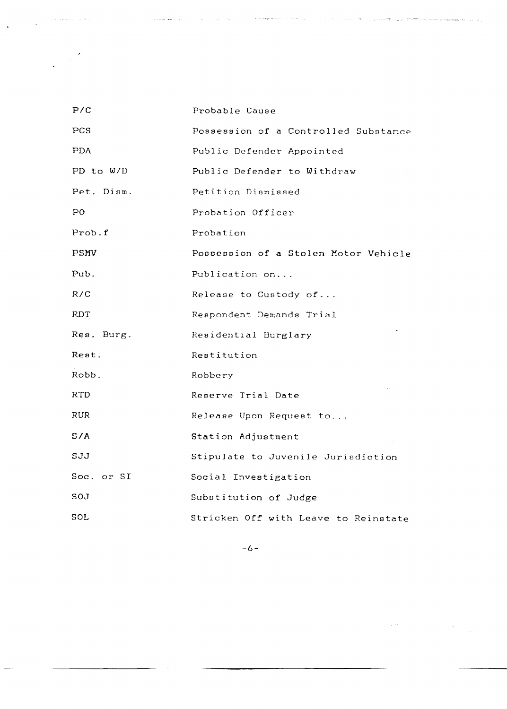| P/C         | Probable Cause                       |
|-------------|--------------------------------------|
| PCS         | Possession of a Controlled Substance |
| <b>PDA</b>  | Public Defender Appointed            |
| PD to $W/D$ | Public Defender to Withdraw          |
| Pet. Dism.  | Petition Dismissed                   |
| PO          | Probation Officer                    |
| Prob.f      | Probation                            |
| PSMV        | Possession of a Stolen Motor Vehicle |
| Pub.        | Publication on                       |
| R/C         | Release to Custody of                |
| RDT         | Respondent Demands Trial             |
| Res. Burg.  | Residential Burglary                 |
| Rest.       | Restitution                          |
| Robb.       | Robbery                              |
| RTD         | Reserve Trial Date                   |
| <b>RUR</b>  | Release Upon Request to              |
| S/A         | Station Adjustment                   |
| SJJ         | Stipulate to Juvenile Jurisdiction   |
| Soc. or SI  | Social Investigation                 |
| SOJ         | Subatitution of Judge                |
| SOL         | Stricken Off with Leave to Reinstate |

للمربوب الرابط

وأراد والمواصلين

-6-

 $\label{eq:2.1} \mathcal{L}^{(2)} = \frac{1}{2} \sum_{i=1}^n \frac{1}{2} \sum_{j=1}^n \frac{1}{2} \sum_{j=1}^n \frac{1}{2} \sum_{j=1}^n \frac{1}{2} \sum_{j=1}^n \frac{1}{2} \sum_{j=1}^n \frac{1}{2} \sum_{j=1}^n \frac{1}{2} \sum_{j=1}^n \frac{1}{2} \sum_{j=1}^n \frac{1}{2} \sum_{j=1}^n \frac{1}{2} \sum_{j=1}^n \frac{1}{2} \sum_{j=1}^n \frac{1}{2} \$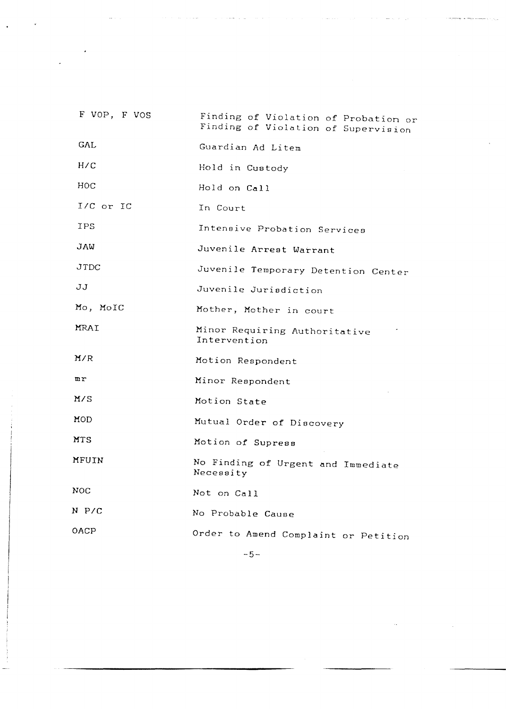| F VOP, F VOS   | Finding of Violation of Probation or<br>Finding of Violation of Supervision |
|----------------|-----------------------------------------------------------------------------|
| GAL            | Guardian Ad Litem                                                           |
| H/C            | Hold in Custody                                                             |
| HOC            | Hold on Call                                                                |
| I/C or IC      | In Court                                                                    |
| IPS            | Intensive Probation Services                                                |
| JAW            | Juvenile Arrest Warrant                                                     |
| JTDC           | Juvenile Temporary Detention Center                                         |
| JJ             | Juvenile Jurisdiction                                                       |
| Mo, MoIC       | Mother, Mother in court                                                     |
| MRAI           | Minor Requiring Authoritative<br>Intervention                               |
| M/R            | Motion Respondent                                                           |
| $\mathbf{u}$ r | Minor Respondent                                                            |
| M/S            | Motion State                                                                |
| MOD            | Mutual Order of Discovery                                                   |
| MTS            | Motion of Supress                                                           |
| MFUIN          | No Finding of Urgent and Immediate<br>Necessity                             |
| NOC            | Not on Call                                                                 |
| N P/C          | No Probable Cause                                                           |
| OACP           | Order to Amend Complaint or Petition                                        |

-5-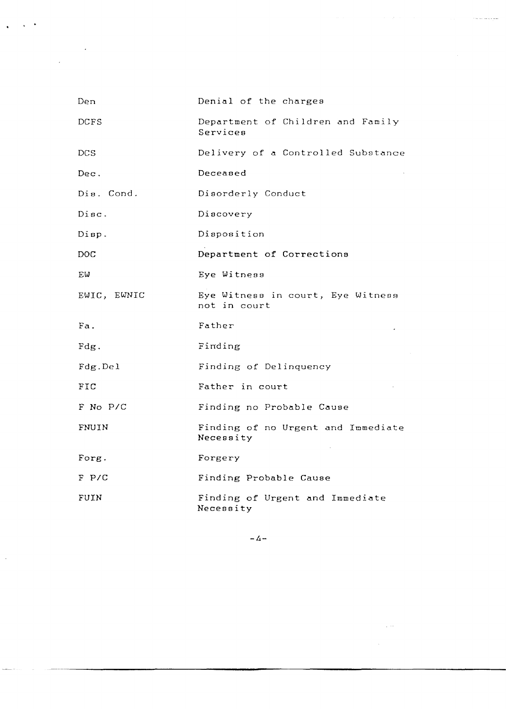| Den          | Denial of the charges                             |
|--------------|---------------------------------------------------|
| DCFS         | Department of Children and Family<br>Services     |
| DCS          | Delivery of a Controlled Substance                |
| Dec.         | Deceased                                          |
| Dis. Cond.   | Disorderly Conduct                                |
| Disc.        | Discovery                                         |
| $\rho$ isp.  | Disposition                                       |
| DOC          | Department of Corrections                         |
| ΕW           | Eye Witness                                       |
| EWIC, EWNIC  | Eye Witness in court, Eye Witness<br>not in court |
| Fa.          | Father                                            |
| Fdg.         | Finding                                           |
| Fdg.Del      | Finding of Delinquency                            |
| $_{\rm FIC}$ | Father in court                                   |
| F No P/C     | Finding no Probable Cause                         |
| FNUIN        | Finding of no Urgent and Immediate<br>Necessity   |
| Forg.        | Forgery                                           |
| $F$ P/C      | Finding Probable Cause                            |
| FUIN         | Finding of Urgent and Immediate<br>Necessity      |

 $\sqrt{2}$ 

 $\ddot{\phantom{a}}$ 

 $\frac{1}{2}$ 

 $\label{eq:1} \mathcal{L}(\mathcal{H}(\mathcal{H})) = \mathcal{L}(\mathcal{H}(\mathcal{H})) = \mathcal{L}(\mathcal{H}(\mathcal{H})) = \mathcal{L}(\mathcal{H}(\mathcal{H})) = \mathcal{L}(\mathcal{H}) = \mathcal{L}(\mathcal{H}) = \mathcal{L}(\mathcal{H})$ 

 $-4-$ 

 $\label{eq:2.1} \frac{1}{\sqrt{2\pi}}\int_{0}^{\infty} \frac{d\mu}{\sqrt{2\pi}}\frac{d\mu}{\sqrt{2\pi}}\frac{d\mu}{\sqrt{2\pi}}\frac{d\mu}{\sqrt{2\pi}}\frac{d\mu}{\sqrt{2\pi}}\frac{d\mu}{\sqrt{2\pi}}\frac{d\mu}{\sqrt{2\pi}}\frac{d\mu}{\sqrt{2\pi}}\frac{d\mu}{\sqrt{2\pi}}\frac{d\mu}{\sqrt{2\pi}}\frac{d\mu}{\sqrt{2\pi}}\frac{d\mu}{\sqrt{2\pi}}\frac{d\mu}{\sqrt{2\pi}}\frac{d\mu}{$ 

 $\label{eq:2} \frac{1}{\sqrt{2}}\left(\frac{1}{\sqrt{2}}\right)^{2} \left(\frac{1}{\sqrt{2}}\right)^{2} \left(\frac{1}{\sqrt{2}}\right)^{2} \left(\frac{1}{\sqrt{2}}\right)^{2} \left(\frac{1}{\sqrt{2}}\right)^{2} \left(\frac{1}{\sqrt{2}}\right)^{2} \left(\frac{1}{\sqrt{2}}\right)^{2} \left(\frac{1}{\sqrt{2}}\right)^{2} \left(\frac{1}{\sqrt{2}}\right)^{2} \left(\frac{1}{\sqrt{2}}\right)^{2} \left(\frac{1}{\sqrt{2}}\right)^{2} \left(\frac{$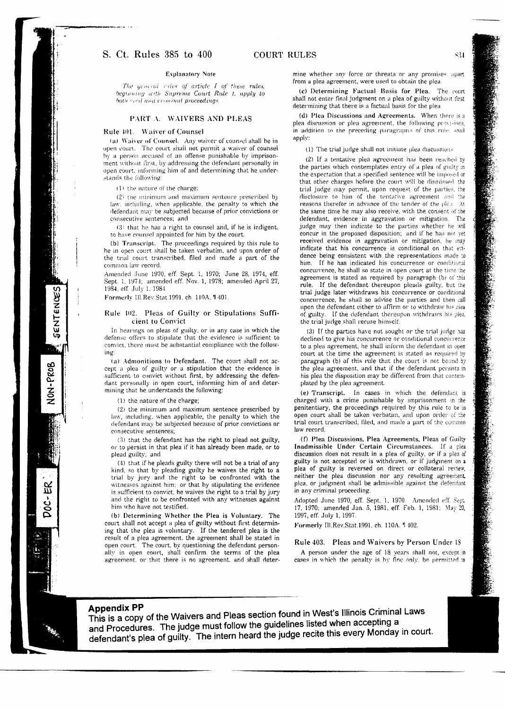## S. Ct. Rules 385 to 400

## **Explanatory Note**

The acueral values of article I of these rules. beginning with Supreme Court Rule 1, apply to both ciril and croninal proceedings

## PART A. WAIVERS AND PLEAS

#### Rule 401. Waiver of Counsel

(a) Waiver of Counsel. Any waiver of counsel shall be in open court. The court shall not permit a waiver of counsel by a person accused of an offense punishable by imprisonment without first, by addressing the defendant personally in open court, informing him of and determining that he understands the following:

(1) the nature of the charge:

 $(2)$  the minimum and maximum sentence prescribed by law, including, when applicable, the penalty to which the defendant may be subjected because of prior convictions or consecutive sentences: and

 $(3)$  that he has a right to counsel and, if he is indigent, to have counsel appointed for him by the court.

(b) Transcript. The proceedings required by this rule to be in open court shall be taken verbatim, and upon order of the trial court transcribed. filed and made a part of the common law record.

Amended June 1970, eff. Sept. 1, 1970; June 28, 1974, eff. Sept. 1, 1974; amended eff. Nov. 1, 1978; amended April 27, 1984, eff. July 1, 1984.

Formerly Ill.Rev.Stat.1991, ch. 110A, #401.

#### Rule 102. Pleas of Guilty or Stipulations Sufficient to Convict

In hearings on pleas of guilty, or in any case in which the defense offers to stipulate that the evidence is sufficient to convict, there must be substantial compliance with the following

(a) Admonitions to Defendant. The court shall not accept a plea of guilty or a stipulation that the evidence is sufficient to convict without first, by addressing the defendant personally in open court, informing him of and determining that he understands the following:

(1) the nature of the charge:

(2) the minimum and maximum sentence prescribed by law, including, when applicable, the penalty to which the defendant may be subjected because of prior convictions or consecutive sentences:

(3) that the defendant has the right to plead not guilty, or to persist in that plea if it has already been made, or to plead guilty; and

(4) that if he pleads guilty there will not be a trial of any kind, so that by pleading guilty he waives the right to a trial by jury and the right to be confronted with the witnesses against him; or that by stipulating the evidence is sufficient to convict, he waives the right to a trial by jury and the right to be confronted with any witnesses against him who have not testified.

(b) Determining Whether the Plea is Voluntary. The court shall not accept a plea of guilty without first determining that the plea is voluntary. If the tendered plea is the result of a plea agreement, the agreement shall be stated in open court. The court, by questioning the defendant personally in open court, shall confirm the terms of the plea agreement, or that there is no agreement, and shall determine whether any force or threats or any promises, apart from a niea agreement, were used to obtain the plea-

(c) Determining Factual Basis for Plea. The court shall not enter final judgment on a plea of guilty without first determining that there is a factual basis for the plea

(d) Plea Discussions and Agreements. When there is a plea discussion or plea agreement, the following provisions, in addition to the preceding paragraphs of this rule, soal annly:

(1) The trial judge shall not initiate plea discussions

(2) If a tentative plea agreement has been reached by the parties which contemplates entry of a plea of guilty in the expectation that a specified sentence will be imposed or that other charges before the court will be dismissed, the trial judge may permit, upon request of the parties, the disclosure to him of the tentative agreement and the reasons therefor in advance of the tender of the plea. At the same time he may also receive, with the consent of the defendant, evidence in aggravation or mitigation. The judge may then indicate to the parties whether he will concur in the proposed disposition; and if he has not yet received evidence in aggravation or mitigation, he may indicate that his concurrence is conditional on that evidence being consistent with the representations made to him. If he has indicated his concurrence or conditional concurrence, he shall so state in open court at the time the agreement is stated as required by paragraph (b) of this rule. If the defendant thereupon pleads guilty, but the trial judge later withdraws his concurrence or conditional concurrence, he shall so advise the parties and then call upon the defendant either to affirm or to withdraw his plea of guilty. If the defendant thereupon withdraws his plea, the trial judge shall recuse himself.

(3) If the parties have not sought or the trial judge has declined to give his concurrence or conditional concurrence to a plea agreement, he shall inform the defendant in open court at the time the agreement is stated as required by paragraph (b) of this rule that the court is not bound by the plea agreement, and that if the defendant persists in his plea the disposition may be different from that contemplated by the plea agreement.

(e) Transcript. In cases in which the defendant is charged with a crime punishable by imprisonment in the penitentiary, the proceedings required by this rule to be in open court shall be taken verbatim, and upon order of the trial court transcribed, filed, and made a part of the common law record.

(f) Plea Discussions, Plea Agreements, Pleas of Guilty Inadmissible Under Certain Circumstances. If a plea discussion does not result in a plea of guilty, or if a plea of guilty is not accepted or is withdrawn, or if judgment on a plea of guilty is reversed on direct or collateral review, neither the plea discussion nor any resulting agreement, plea, or judgment shall be admissible against the defendant in any criminal proceeding.

Adopted June 1970, eff. Sept. 1, 1970. Amended eff. Sept. 17, 1970; amended Jan. 5, 1981, eff. Feb. 1, 1981; May 20, 1997, eff. July 1, 1997.

Formerly Ill.Rev.Stat.1991, ch. 110A. 1402.

## Rule 403. Pleas and Waivers by Person Under 18

A person under the age of 18 years shall not, except in cases in which the penalty is by fine only, be permitted to

# **Appendix PP**



SENTENCES

NON-PROB

ΒŔ

This is a copy of the Waivers and Pleas section found in West's Illinois Criminal Laws and Procedures. The judge must follow the guidelines listed when accepting a defendant's plea of guilty. The intern heard the judge recite this every Monday in court.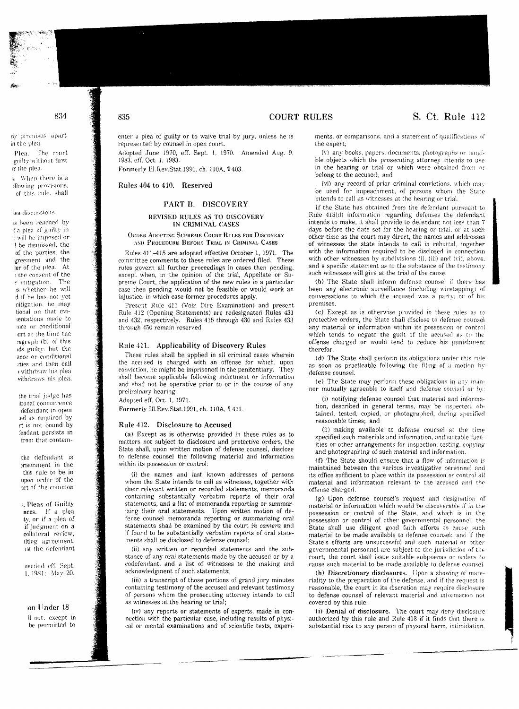## 834

; promises, apart the plea

**1998** 

Piea. The court milty without first the plea.

When there is a llowing provisions, of this rule, shall

## ea discussions.

been reached by a plea of guilty in will be imposed or be dismissed, the of the parties, the greement and the er of the plea. At the consent of the mitigation. The s whether he will d if he has not yet nitigation, he may tional on that evisentations made to mee or conditional jurt at the time the ragraph (b) of this ids guilty, but the ence or conditional rties and then call ) withdraw his plea vithdraws his plea,

the trial judge has itional concurrence defendant in open led as required by rt is not bound by fendant persists in from that contem-

the defendant is prisonment in the this rule to be in upon order of the art of the common

, Pleas of Guilty nces. If a plea ty, or if a plea of if indement on a collateral review. ilting agreement, ist the defendant

nended eff. Sept. 1, 1981: May 20,

#### son Under 18

Il not, except in be permitted to

## 835

enter a plea of guilty or to waive trial by jury, unless he is represented by counsel in open court.

**COURT RULES** 

Adopted June 1970, eff. Sept. 1, 1970. Amended Aug. 9, 1983, eff. Oct. 1, 1983.

Formerly Ill.Rev.Stat.1991, ch. 110A, 1403.

### Rules 404 to 410. Reserved

## PART B. DISCOVERY

#### REVISED RULES AS TO DISCOVERY IN CRIMINAL CASES

**ORDER ADOPTING SUPREME COURT RULES FOR DISCOVERY** AND PROCEDURE BEFORE TRIAL IN CRIMINAL CASES

Rules 411-415 are adopted effective October 1, 1971. The committee comments to these rules are ordered filed. These rules govern all further proceedings in cases then pending, except when, in the opinion of the trial, Appellate or Supreme Court, the application of the new rules in a particular case then pending would not be feasible or would work an injustice, in which case former procedures apply.

Present Rule 411 (Voir Dire Examination) and present Rule 412 (Opening Statements) are redesignated Rules 431 and 432, respectively. Rules 416 through 430 and Rules 433 through 450 remain reserved.

## Rule 411. Applicability of Discovery Rules

These rules shall be applied in all criminal cases wherein the accused is charged with an offense for which, upon conviction, he might be imprisoned in the penitentiary. They shall become applicable following indictment or information and shall not be operative prior to or in the course of any preliminary hearing.

Adopted eff. Oct. 1, 1971.

Formerly Ill.Rev.Stat.1991, ch. 110A, 1411.

#### Rule 412. Disclosure to Accused

(a) Except as is otherwise provided in these rules as to matters not subject to disclosure and protective orders, the State shall, upon written motion of defense counsel, disclose to defense counsel the following material and information within its possession or control:

(i) the names and last known addresses of persons whom the State intends to call as witnesses, together with their relevant written or recorded statements, memoranda containing substantially verbatim reports of their oral statements, and a list of memoranda reporting or summarizing their oral statements. Upon written motion of defense counsel memoranda reporting or summarizing oral statements shall be examined by the court in camera and if found to be substantially verbatim reports of oral statements shall be disclosed to defense counsel;

(ii) any written or recorded statements and the substance of any oral statements made by the accused or by a codefendant, and a list of witnesses to the making and acknowledgment of such statements;

(iii) a transcript of those portions of grand jury minutes containing testimony of the accused and relevant testimony of persons whom the prosecuting attorney intends to call as witnesses at the hearing or trial;

(iv) any reports or statements of experts, made in connection with the particular case, including results of physical or mental examinations and of scientific tests, experiments, or comparisons, and a statement of qualifications of the expert:

(v) any books, papers, documents, photographs or tangible objects which the prosecuting attorney intends to use in the hearing or trial or which were obtained from or belong to the accused; and

(vi) any record of prior criminal convictions, which may be used for impeachment, of persons whom the State intends to call as witnesses at the hearing or trial.

If the State has obtained from the defendant pursuant to Rule 413(d) information regarding defenses the defendant intends to make, it shall provide to defendant not less than 7 days before the date set for the hearing or trial, or at such other time as the court may direct, the names and addresses of witnesses the state intends to call in rebuttal, together with the information required to be disclosed in connection with other witnesses by subdivisions (i), (iii) and (vi), above, and a specific statement as to the substance of the testimony such witnesses will give at the trial of the cause.

(b) The State shall inform defense counsel if there has been any electronic surveillance (including wiretapping) of conversations to which the accused was a party, or of his premises.

(c) Except as is otherwise provided in these rules as to protective orders, the State shall disclose to defense counsel any material or information within its possession or control which tends to negate the guilt of the accused as to the offense charged or would tend to reduce his punishment therefor.

(d) The State shall perform its obligations under this rule as soon as practicable following the filing of a motion by defense counsel.

(e) The State may perform these obligations in any manner mutually agreeable to itself and defense counsel or by:

(i) notifying defense counsel that material and information, described in general terms, may be inspected, obtained, tested, copied, or photographed, during specified reasonable times; and

(ii) making available to defense counsel at the time specified such materials and information, and suitable facilities or other arrangements for inspection, testing, copying and photographing of such material and information.

(f) The State should ensure that a flow of information is maintained between the various investigative personnel and its office sufficient to place within its possession or control all material and information relevant to the accused and the offense charged.

(g) Upon defense counsel's request and designation of material or information which would be discoverable if in the possession or control of the State, and which is in the possession or control of other governmental personnel, the State shall use diligent good faith efforts to cause such material to be made available to defense counsel: and if the State's efforts are unsuccessful and such material or other governmental personnel are subject to the jurisdiction of the court, the court shall issue suitable subpoenas or orders to cause such material to be made available to defense counsel.

(h) Discretionary disclosures. Upon a showing of materiality to the preparation of the defense, and if the request is reasonable, the court in its discretion may require disclosure to defense counsel of relevant material and information not covered by this rule.

(i) Denial of disclosure. The court may deny disclosure authorized by this rule and Rule 413 if it finds that there is substantial risk to any person of physical harm, intimidation,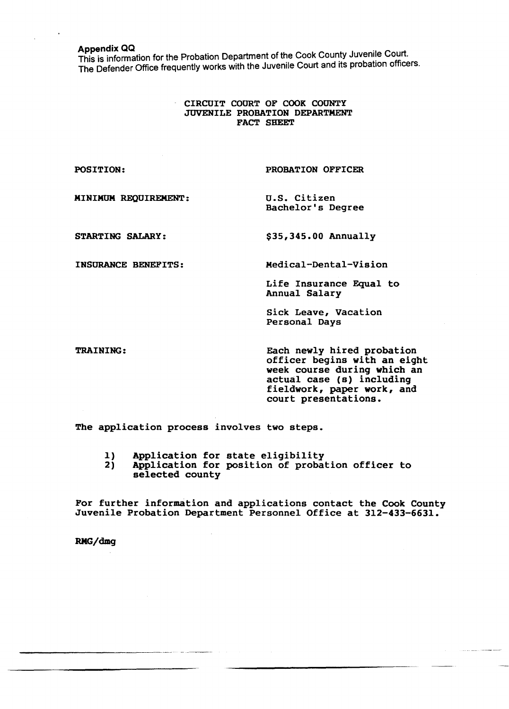Appendix QQ . This is information for the Probation Department of the Cook County Juvenlie Court. The Defender Office frequently works with the Juvenile Court and its probation officers.

## CIRCUIT COURT OF COOK COUNTY JUVENILE PROBATION DEPARTMENT FACT SHEET

POSITION: PROBATION OFFICER MINIMUM REQUIREMENT: U.S. Citizen Bachelor's Degree

STARTING SALARY:

INSURANCE BENEFITS:

\$35,345.00 Annually

Medical-Dental-Vision

Life Insurance Equal to Annual Salary

Sick Leave, Vacation Personal Days

TRAINING:

Each newly hired probation officer begins with an eight week course during which an actual case (s) including fieldwork, paper work, and court presentations.

The application process involves two steps.

- 1) Application for state eligibility<br>2) Application for position of probat
- Application for position of probation officer to selected county

For further information and applications contact the Cook County Juvenile Probation Department Personnel Office at 312-433-6631.

RMG/dmg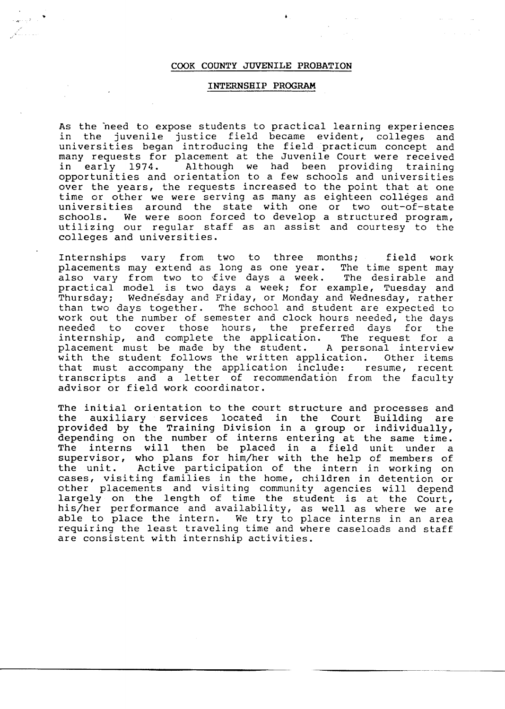## COOK COUNTY JUVENILE PROBATION

..

## INTERNSHIP PROGRAM

As the beed to expose students to practical learning experiences in the juvenile justice field became evident, colleges and universities began introducing the field practicum concept and many requests for placement at the Juvenile Court were received in early 1974. Although we had been providing training opportunities and orientation to a few schools and universities over the years, the requests increased to the point that at one time or other we were serving as many as eighteen colleges and universities around the state with one or two out-of-state schools. We were soon forced to develop a structured program, utilizing our regular staff as an assist and courtesy to the colleges and universities.

Internships vary from two to three months; field work placements may extend as long as one year. The time spent may also vary from two to five days a week. The desirable and practical model is two days a week; for example, Tuesday and<br>Thursday: Wednesday and Friday, or Monday and Wednesday, rather Wednesday and Friday, or Monday and Wednesday, rather than two days together. The school and student are expected to work out the number of semester and clock hours needed, the days needed to cover those hours, the preferred days for the internship, and complete the application. The request for a placement must be made by the student. A personal interview with the student follows the written application. Other items that must accompany the application include: resume, recent transcripts and a letter of recommendation from the faculty advisor or field work coordinator.

The initial orientation to the court structure and processes and the auxiliary services located in the Court Building are provided by the Training Division in a group or individually, depending on the number of interns entering at the same time. The interns will then be placed in a field unit under a supervisor, who plans for him/her with the help of members of the unit. Active participation of the intern in working on cases, visiting families in the home, children in detention or other placements and visiting community agencies will depend largely on the length of time the student is at the Court, his/her performance and availability, as well as where we are able to place the intern. We try to place interns in an area requiring the least traveling time and where caseloads and staff are consistent with internship activities.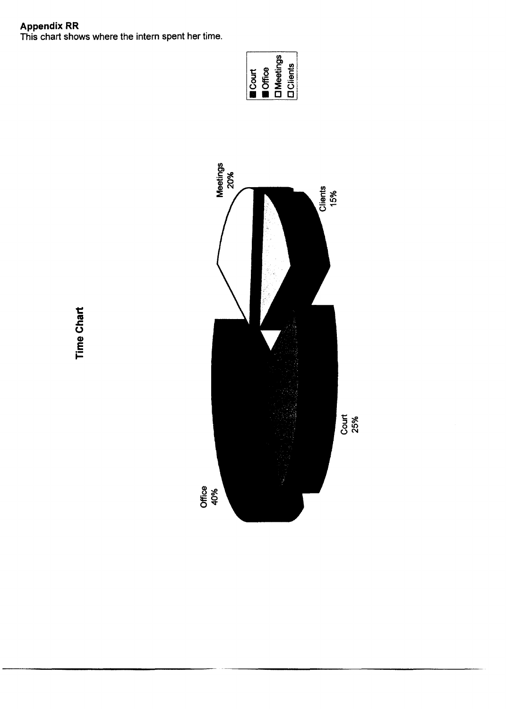Appendix RR<br>This chart shows where the intern spent her time.





**Time Chart**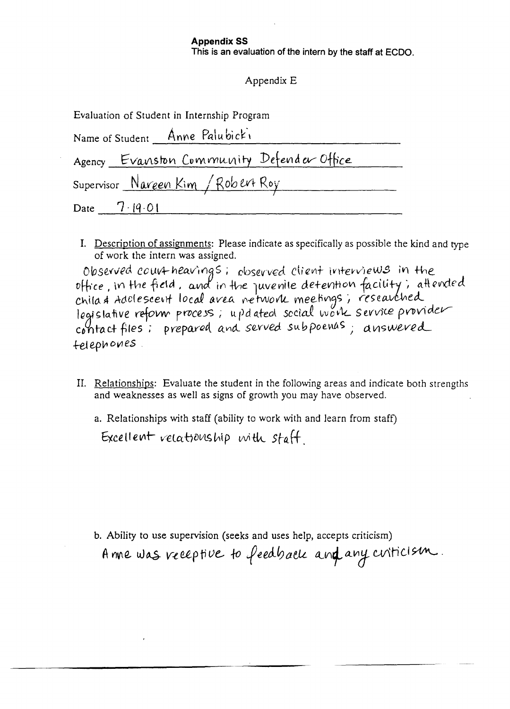# **Appendix SS**

This is an evaluation of the intern by the staff at ECDO.

# Appendix E

| Evaluation of Student in Internship Program |  |
|---------------------------------------------|--|
|---------------------------------------------|--|

| Name of Student Anne Palubicki            |
|-------------------------------------------|
| Agency Evanston Community Defender Office |
| Supervisor Naveen Kim / Robert Roy        |
| Date $7.19.01$                            |

I. Description of assignments: Please indicate as specifically as possible the kind and type of work the intern was assigned.

Observed court heavings; observed client interviews in the office, in the field, and in the quvenile detention facility; attended<br>chila & Adelesceut local area network meetings, researched<br>legislative reform process; updated social work service provider contact files: prepared and served subpoenas; answered telephones.

II. Relationships: Evaluate the student in the following areas and indicate both strengths and weaknesses as well as signs of growth you may have observed.

a. Relationships with staff (ability to work with and learn from staff) Excellent relationship with staff

b. Ability to use supervision (seeks and uses help, accepts criticism)

Anne was receptive to feedback and any criticism.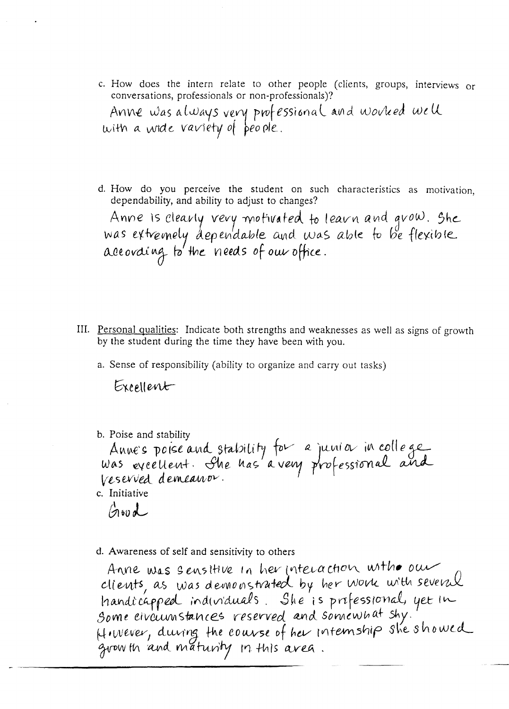c. How does the intern relate to other people (clients, groups, interviews or conversations, professionals or non-professionals)?

Anne was always very professional and worked well with a wide variety of people.

d. How do you perceive the student on such characteristics as motivation. dependability, and ability to adjust to changes?

Anne is clearly very motivated to learn and grow. She<br>was extremely dependable and was able to be flexible<br>according to the needs of our office.

- III. Personal qualities: Indicate both strengths and weaknesses as well as signs of growth by the student during the time they have been with you.
	- a. Sense of responsibility (ability to organize and carry out tasks)

Excellent

b. Poise and stability Anne's poise and stability for a junior in college Veserved demeanor. c. Initiative

 $\beta$  to d

d. Awareness of self and sensitivity to others

Anne was sensitive in her interaction with our clients, as was demonstrated by her work with several handicapped individuals. She is prefessional, yet in<br>Some civournstances reserved and somewhat shy.<br>Hiwever, during the course of her internship she showed grow th and maturity in this area.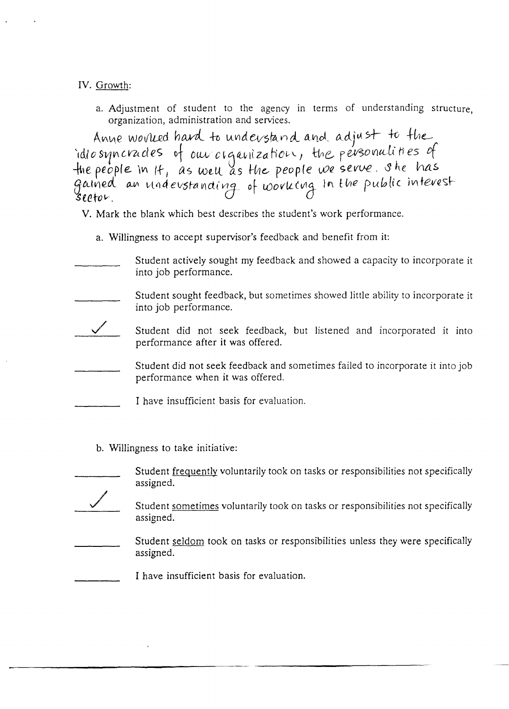IV. Growth:

a. Adjustment of student to the agency in terms of understanding structure, organization, administration and services.

Anne worlied hard to understand and adjust to the idiosyncrades of our cigarization, the personalities of fine people in It, as well as the people we serve. She has fic people in it , we went as the people of so ~tetov. *U* 0

- v. Mark the blank which best describes the student's work performance.
	- a. Willingness to accept supervisor's feedback and benefit from it:
- Student actively sought my feedback and showed a capacity to incorporate it into job performance.
- Student sought feedback, but sometimes showed little ability to incorporate it into job performance.
- Student did not seek feedback, but listened and incorporated it into performance after it was offered.
	- Student did not seek feedback and sometimes failed to incorporate it into job performance when it was offered.
- I have insufficient basis for evaluation.
	- b. Willingness to take initiative:

/

- Student frequently voluntarily took on tasks or responsibilities not specifically assigned.
	- Student sometimes voluntarily took on tasks or responsibilities not specifically assigned.
- Student seldom took on tasks or responsibilities unless they were specifically assigned.
- I have insufficient basis for evaluation.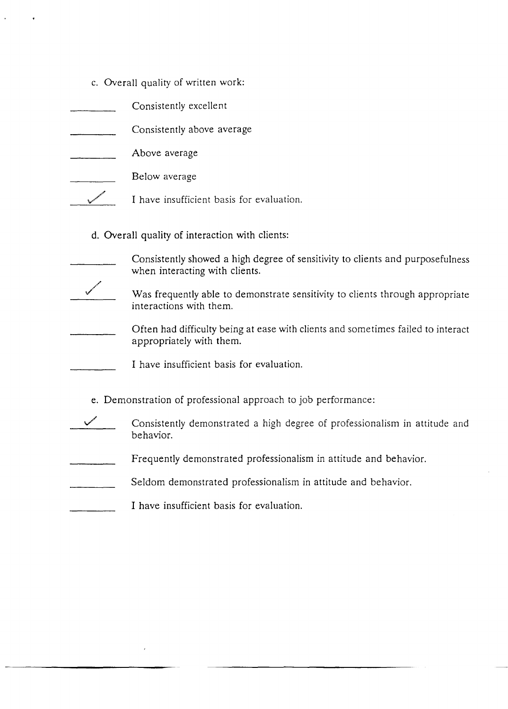- c. Overall quality of written work:
- Consistently excellent
- Consistently above average
- Above average  $\mathcal{L}$
- Below average
- **South Strain Strain Strain Strain Strain Strain Strain Strain Strain Strain Strain Strain Strain Strain Strain** I have insufficient basis for evaluation.
	- d. Overall quality of interaction with clients:
- Consistently showed a high degree of sensitivity to clients and purposefulness when interacting with clients.
- ./ Was frequently able to demonstrate sensitivity to clients through appropriate interactions with them.
- Often had difficulty being at ease with clients and sometimes failed to interact appropriately with them.
	- I have insufficient basis for evaluation.
	- e. Demonstration of professional approach to job performance:
- Consistently demonstrated a high degree of professionalism in attitude and behavior.
- Frequently demonstrated professionalism in attitude and behavior.
- Seldom demonstrated professionalism in attitude and behavior.
- I have insufficient basis for evaluation.